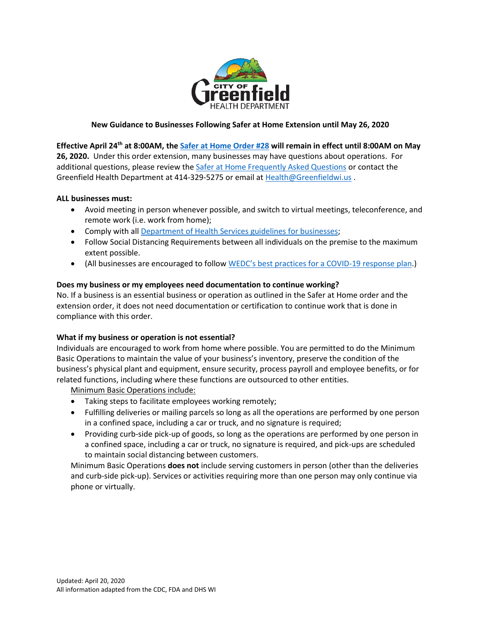

#### **New Guidance to Businesses Following Safer at Home Extension until May 26, 2020**

**Effective April 24th at 8:00AM, the [Safer at Home Order #28](https://evers.wi.gov/Documents/COVID19/EMO28-SaferAtHome.pdf) will remain in effect until 8:00AM on May 26, 2020.** Under this order extension, many businesses may have questions about operations. For additional questions, please review th[e Safer at Home Frequently Asked Questions](https://content.govdelivery.com/attachments/WIGOV/2020/04/16/file_attachments/1428997/2020-04-16%20Safer%20at%20Home%20extension%20FAQ.pdf) or contact the Greenfield Health Department at 414-329-5275 or email at [Health@Greenfieldwi.us](mailto:Health@Greenfieldwi.us) .

#### **ALL businesses must:**

- Avoid meeting in person whenever possible, and switch to virtual meetings, teleconference, and remote work (i.e. work from home);
- Comply with al[l Department of Health Services guidelines for businesses;](https://www.dhs.wisconsin.gov/covid-19/employers.htm)
- Follow Social Distancing Requirements between all individuals on the premise to the maximum extent possible.
- (All businesses are encouraged to follow [WEDC's best practices for a COVID](https://wedc.org/wp-content/uploads/2020/03/COVID-Compliance-List-FINAL.pdf)-19 response plan.)

#### **Does my business or my employees need documentation to continue working?**

No. If a business is an essential business or operation as outlined in the Safer at Home order and the extension order, it does not need documentation or certification to continue work that is done in compliance with this order.

#### **What if my business or operation is not essential?**

Individuals are encouraged to work from home where possible. You are permitted to do the Minimum Basic Operations to maintain the value of your business's inventory, preserve the condition of the business's physical plant and equipment, ensure security, process payroll and employee benefits, or for related functions, including where these functions are outsourced to other entities.

Minimum Basic Operations include:

- Taking steps to facilitate employees working remotely;
- Fulfilling deliveries or mailing parcels so long as all the operations are performed by one person in a confined space, including a car or truck, and no signature is required;
- Providing curb-side pick-up of goods, so long as the operations are performed by one person in a confined space, including a car or truck, no signature is required, and pick-ups are scheduled to maintain social distancing between customers.

Minimum Basic Operations **does not** include serving customers in person (other than the deliveries and curb-side pick-up). Services or activities requiring more than one person may only continue via phone or virtually.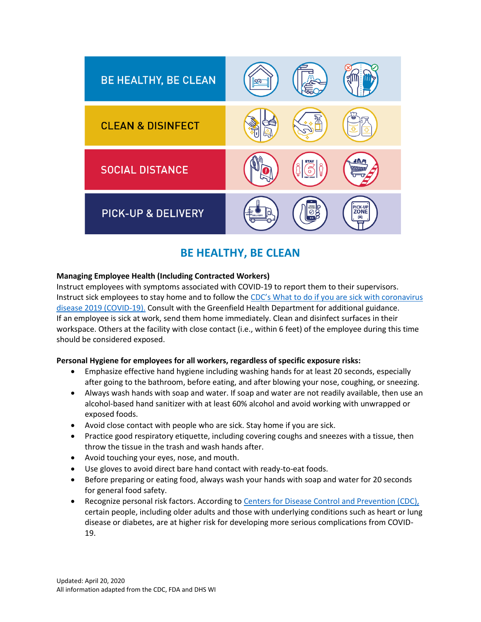

# **BE HEALTHY, BE CLEAN**

### **Managing Employee Health (Including Contracted Workers)**

Instruct employees with symptoms associated with COVID-19 to report them to their supervisors. Instruct sick employees to stay home and to follow the CDC's What [to do if you are sick with coronavirus](https://www.cdc.gov/coronavirus/2019-ncov/if-you-are-sick/steps-when-sick.html)  [disease 2019 \(COVID-19\).](https://www.cdc.gov/coronavirus/2019-ncov/if-you-are-sick/steps-when-sick.html) Consult with the Greenfield Health Department for additional guidance. If an employee is sick at work, send them home immediately. Clean and disinfect surfaces in their workspace. Others at the facility with close contact (i.e., within 6 feet) of the employee during this time should be considered exposed.

#### **Personal Hygiene for employees for all workers, regardless of specific exposure risks:**

- Emphasize effective hand hygiene including washing hands for at least 20 seconds, especially after going to the bathroom, before eating, and after blowing your nose, coughing, or sneezing.
- Always wash hands with soap and water. If soap and water are not readily available, then use an alcohol-based hand sanitizer with at least 60% alcohol and avoid working with unwrapped or exposed foods.
- Avoid close contact with people who are sick. Stay home if you are sick.
- Practice good respiratory etiquette, including covering coughs and sneezes with a tissue, then throw the tissue in the trash and wash hands after.
- Avoid touching your eyes, nose, and mouth.
- Use gloves to avoid direct bare hand contact with ready-to-eat foods.
- Before preparing or eating food, always wash your hands with soap and water for 20 seconds for general food safety.
- Recognize personal risk factors. According to [Centers for Disease Control and Prevention \(CDC\),](https://www.cdc.gov/coronavirus/2019-ncov/need-extra-precautions/people-at-higher-risk.html) certain people, including older adults and those with underlying conditions such as heart or lung disease or diabetes, are at higher risk for developing more serious complications from COVID-19.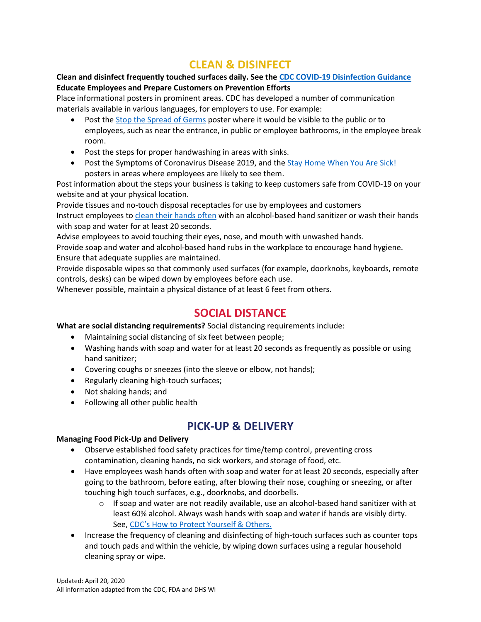# **CLEAN & DISINFECT**

### **Clean and disinfect frequently touched surfaces daily. See th[e CDC COVID-19 Disinfection Guidance](https://www.cdc.gov/coronavirus/2019-ncov/community/organizations/cleaning-disinfection.html) Educate Employees and Prepare Customers on Prevention Efforts**

Place informational posters in prominent areas. CDC has developed a number of communication materials available in various languages, for employers to use. For example:

- Post the [Stop the Spread of Germs](https://www.cdc.gov/nonpharmaceutical-interventions/pdf/dont-spread-germs-work-item3.pdf) poster where it would be visible to the public or to employees, such as near the entrance, in public or employee bathrooms, in the employee break room.
- Post the steps for proper handwashing in areas with sinks.
- Post the Symptoms of Coronavirus Disease 2019, and the [Stay Home When You Are Sick!](https://www.cdc.gov/nonpharmaceutical-interventions/pdf/stay-home-youre-sick-employers-item4.pdf) posters in areas where employees are likely to see them.

Post information about the steps your business is taking to keep customers safe from COVID-19 on your website and at your physical location.

Provide tissues and no-touch disposal receptacles for use by employees and customers Instruct employees to [clean their hands often](https://www.cdc.gov/handwashing/index.html) with an alcohol-based hand sanitizer or wash their hands with soap and water for at least 20 seconds.

Advise employees to avoid touching their eyes, nose, and mouth with unwashed hands.

Provide soap and water and alcohol-based hand rubs in the workplace to encourage hand hygiene. Ensure that adequate supplies are maintained.

Provide disposable wipes so that commonly used surfaces (for example, doorknobs, keyboards, remote controls, desks) can be wiped down by employees before each use.

Whenever possible, maintain a physical distance of at least 6 feet from others.

# **SOCIAL DISTANCE**

**What are social distancing requirements?** Social distancing requirements include:

- Maintaining social distancing of six feet between people;
- Washing hands with soap and water for at least 20 seconds as frequently as possible or using hand sanitizer;
- Covering coughs or sneezes (into the sleeve or elbow, not hands);
- Regularly cleaning high-touch surfaces;
- Not shaking hands; and
- Following all other public health

# **PICK-UP & DELIVERY**

### **Managing Food Pick-Up and Delivery**

- Observe established food safety practices for time/temp control, preventing cross contamination, cleaning hands, no sick workers, and storage of food, etc.
- Have employees wash hands often with soap and water for at least 20 seconds, especially after going to the bathroom, before eating, after blowing their nose, coughing or sneezing, or after touching high touch surfaces, e.g., doorknobs, and doorbells.
	- $\circ$  If soap and water are not readily available, use an alcohol-based hand sanitizer with at least 60% alcohol. Always wash hands with soap and water if hands are visibly dirty. See, CDC's How t[o Protect Yourself & Others.](https://www.cdc.gov/coronavirus/2019-ncov/prevent-getting-sick/prevention.html)
- Increase the frequency of cleaning and disinfecting of high-touch surfaces such as counter tops and touch pads and within the vehicle, by wiping down surfaces using a regular household cleaning spray or wipe.